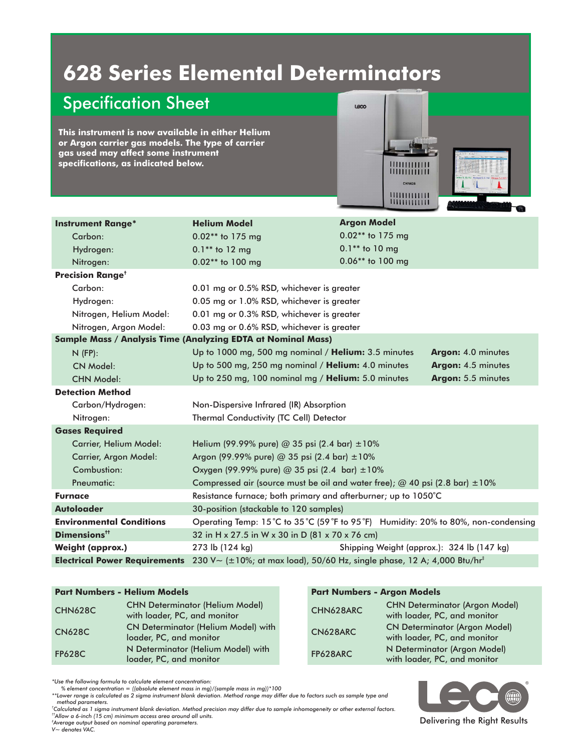# **628 Series Elemental Determinators**

## Specification Sheet

**This instrument is now available in either Helium or Argon carrier gas models. The type of carrier gas used may affect some instrument specifications, as indicated below.**



| <b>Instrument Range*</b>                                            | <b>Helium Model</b>                                                                 | <b>Argon Model</b> |  |  |  |
|---------------------------------------------------------------------|-------------------------------------------------------------------------------------|--------------------|--|--|--|
| Carbon:                                                             | 0.02** to 175 mg                                                                    | $0.02**$ to 175 mg |  |  |  |
| Hydrogen:                                                           | $0.1**$ to 12 mg                                                                    | $0.1**$ to 10 mg   |  |  |  |
| Nitrogen:                                                           | 0.02** to 100 mg                                                                    | 0.06** to 100 mg   |  |  |  |
| <b>Precision Range<sup>t</sup></b>                                  |                                                                                     |                    |  |  |  |
| Carbon:                                                             | 0.01 mg or 0.5% RSD, whichever is greater                                           |                    |  |  |  |
| Hydrogen:                                                           | 0.05 mg or 1.0% RSD, whichever is greater                                           |                    |  |  |  |
| Nitrogen, Helium Model:                                             | 0.01 mg or 0.3% RSD, whichever is greater                                           |                    |  |  |  |
| Nitrogen, Argon Model:                                              | 0.03 mg or 0.6% RSD, whichever is greater                                           |                    |  |  |  |
| <b>Sample Mass / Analysis Time (Analyzing EDTA at Nominal Mass)</b> |                                                                                     |                    |  |  |  |
| $N$ (FP):                                                           | Up to 1000 mg, 500 mg nominal / Helium: 3.5 minutes<br>Argon: 4.0 minutes           |                    |  |  |  |
| CN Model:                                                           | Up to 500 mg, 250 mg nominal / Helium: 4.0 minutes<br>Argon: 4.5 minutes            |                    |  |  |  |
| <b>CHN Model:</b>                                                   | Up to 250 mg, 100 nominal mg / Helium: 5.0 minutes<br>Argon: 5.5 minutes            |                    |  |  |  |
| <b>Detection Method</b>                                             |                                                                                     |                    |  |  |  |
| Carbon/Hydrogen:                                                    | Non-Dispersive Infrared (IR) Absorption                                             |                    |  |  |  |
| Nitrogen:                                                           | Thermal Conductivity (TC Cell) Detector                                             |                    |  |  |  |
| <b>Gases Required</b>                                               |                                                                                     |                    |  |  |  |
| <b>Carrier, Helium Model:</b>                                       | Helium (99.99% pure) @ 35 psi (2.4 bar) $\pm 10\%$                                  |                    |  |  |  |
| Carrier, Argon Model:                                               | Argon (99.99% pure) @ 35 psi (2.4 bar) ±10%                                         |                    |  |  |  |
| Combustion:                                                         | Oxygen (99.99% pure) @ 35 psi (2.4 bar) ±10%                                        |                    |  |  |  |
| Pneumatic:                                                          | Compressed air (source must be oil and water free); $@$ 40 psi (2.8 bar) $±10\%$    |                    |  |  |  |
| <b>Furnace</b>                                                      | Resistance furnace; both primary and afterburner; up to 1050°C                      |                    |  |  |  |
| <b>Autoloader</b>                                                   | 30-position (stackable to 120 samples)                                              |                    |  |  |  |
| <b>Environmental Conditions</b>                                     | Operating Temp: 15°C to 35°C (59°F to 95°F) Humidity: 20% to 80%, non-condensing    |                    |  |  |  |
| Dimensions <sup>tt</sup>                                            | 32 in H x 27.5 in W x 30 in D (81 x 70 x 76 cm)                                     |                    |  |  |  |
| <b>Weight (approx.)</b>                                             | 273 lb (124 kg)<br>Shipping Weight (approx.): 324 lb (147 kg)                       |                    |  |  |  |
| <b>Electrical Power Requirements</b>                                | 230 V~ (±10%; at max load), 50/60 Hz, single phase, 12 A; 4,000 Btu/hr <sup>‡</sup> |                    |  |  |  |

| <b>CHNOZOC</b> | with loader, PC, and monitor                                          |  |  |
|----------------|-----------------------------------------------------------------------|--|--|
| <b>CN628C</b>  | <b>CN Determinator (Helium Model) with</b><br>loader, PC, and monitor |  |  |
| <b>FP628C</b>  | N Determinator (Helium Model) with<br>loader, PC, and monitor         |  |  |

#### **Part Numbers - Helium Models Part Numbers - Argon Models**

| <b>CHN628C</b> | <b>CHN Determinator (Helium Model)</b><br>with loader, PC, and monitor | CHN628ARC | <b>CHN Determinator (Argon Model)</b><br>with loader, PC, and monitor |
|----------------|------------------------------------------------------------------------|-----------|-----------------------------------------------------------------------|
| <b>CN628C</b>  | <b>CN Determinator (Helium Model) with</b><br>loader, PC, and monitor  | CN628ARC  | <b>CN Determinator (Argon Model)</b><br>with loader, PC, and monitor  |
| <b>FP628C</b>  | N Determinator (Helium Model) with<br>loader, PC, and monitor          | FP628ARC  | N Determinator (Argon Model)<br>with loader, PC, and monitor          |

*\*Use the following formula to calculate element concentration: % element concentration = ((absolute element mass in mg)/(sample mass in mg))\*100*

*\*\*Lower range is calculated as 2 sigma instrument blank deviation. Method range may differ due to factors such as sample type and method parameters.*

*† Calculated as 1 sigma instrument blank deviation. Method precision may differ due to sample inhomogeneity or other external factors. ††Allow a 6-inch (15 cm) minimum access area around all units.*

*‡ Average output based on nominal operating parameters.*

*V~ denotes . VAC*

Delivering the Right Results

Œ